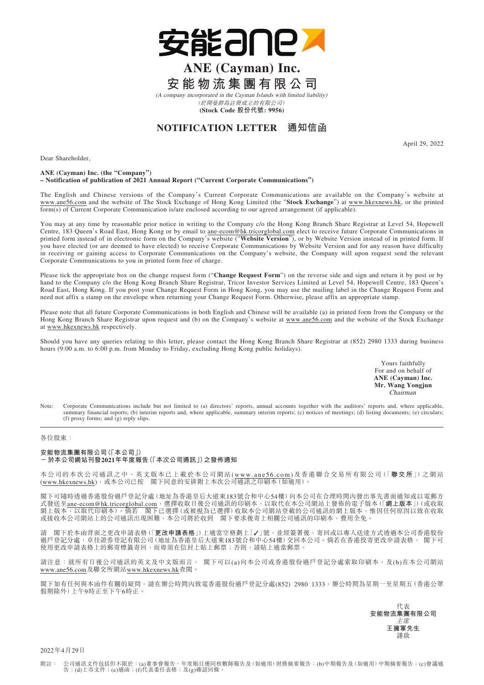

## **ANE (Cayman) Inc. 安能物流集團有限公司**

(A company incorporated in the Cayman Islands with limited liability) (於開曼群島註冊成立的有限公司) **(Stock Code 股份代號: 9956)**

**NOTIFICATION LETTER 通知信函**

April 29, 2022

Dear Shareholder,

## **ANE (Cayman) Inc. (the "Company") – Notification of publication of 2021 Annual Report ("Current Corporate Communications")**

The English and Chinese versions of the Company's Current Corporate Communications are available on the Company's website at www.ane56.com and the website of The Stock Exchange of Hong Kong Limited (the "**Stock Exchange**") at www.hkexnews.hk, or the printed form(s) of Current Corporate Communication is/are enclosed according to our agreed arrangement (if applicable).

You may at any time by reasonable prior notice in writing to the Company c/o the Hong Kong Branch Share Registrar at Level 54, Hopewell Centre, 183 Queen's Road East, Hong Kong or by email to ane-ecom@hk.tricorglobal.com elect to receive future Corporate Communications in printed form instead of in electronic form on the Company's website ("**Website Version**"), or by Website Version instead of in printed form. If you have elected (or are deemed to have elected) to receive Corporate Communications by Website Version and for any reason have difficulty in receiving or gaining access to Corporate Communications on the Company's website, the Company will upon request send the relevant Corporate Communications to you in printed form free of charge.

Please tick the appropriate box on the change request form ("**Change Request Form**") on the reverse side and sign and return it by post or by hand to the Company c/o the Hong Kong Branch Share Registrar, Tricor Investor Services Limited at Level 54, Hopewell Centre, 183 Queen's Road East, Hong Kong. If you post your Change Request Form in Hong Kong, you may use the mailing label in the Change Request Form and need not affix a stamp on the envelope when returning your Change Request Form. Otherwise, please affix an appropriate stamp.

Please note that all future Corporate Communications in both English and Chinese will be available (a) in printed form from the Company or the Hong Kong Branch Share Registrar upon request and (b) on the Company's website at www.ane56.com and the website of the Stock Exchange at www.hkexnews.hk respectively.

Should you have any queries relating to this letter, please contact the Hong Kong Branch Share Registrar at (852) 2980 1333 during business hours (9:00 a.m. to 6:00 p.m. from Monday to Friday, excluding Hong Kong public holidays).

> Yours faithfully For and on behalf of **ANE (Cayman) Inc. Mr. Wang Yongjun** Chairman

Note: Corporate Communications include but not limited to (a) directors' reports, annual accounts together with the auditors' reports and, where applicable, summary financial reports; (b) interim reports and, where applicable, summary interim reports; (c) notices of meetings; (d) listing documents; (e) circulars; (f) proxy forms; and (g) reply slips.

## 各位股東:

## **安能物流集團有限公司(「本公司」) -於本公司網站刊發2021年年度報告(「本次公司通訊」)之發佈通知**

本公司的本次公司通訊之中、英文版本已上載於本公司網站(www.ane56.com)及香港聯合交易所有限公司(「**聯交所**」)之網站 (www.hkexnews.hk),或本公司已按 閣下同意的安排附上本次公司通訊之印刷本(如適用)。

閣下可隨時透過香港股份過戶登記分處(地址為香港皇后大道東183號合和中心54樓)向本公司在合理時間內發出事先書面通知或以電郵方 式發送至ane-ecom@hk.tricorglobal.com,選擇收取日後公司通訊的印刷本,以取代在本公司網站上發佈的電子版本(「**網上版本**」)(或收取 網上版本,以取代印刷本)。倘若 閣下已選擇(或被視為已選擇)收取本公司網站登載的公司通訊的網上版本,惟因任何原因以致在收取 或接收本公司網站上的公司通訊出現困難,本公司將於收到 閣下要求後寄上相關公司通訊的印刷本,費用全免。

請 閣下於本函背面之更改申請表格(「**更改申請表格**」)上適當空格劃上「✓」號,並經簽署後,寄回或以專人送達方式透過本公司香港股份 過戶登記分處,卓佳證券登記有限公司(地址為香港皇后大道東183號合和中心54樓)交回本公司。倘若在香港投寄更改申請表格, 閣下可 使用更改申請表格上的郵寄標籤寄回,而毋須在信封上貼上郵票;否則,請貼上適當郵票

請注意: 就所有日後公司通訊的英文及中文版而言, 閣下可以(a)向本公司或香港股份過戶登記分處索取印刷本,及(b)在本公司網站 www.ane56.com及聯交所網站www.hkexnews.hk查閱。

閣下如有任何與本函件有關的疑問,請在辦公時間內致電香港股份過戶登記分處(852) 2980 1333,辦公時間為星期一至星期五(香港公眾 假期除外)上午9時正至下午6時正。

> 代表 **安能物流集團有限公司** 主席 **王擁軍先生** 謹啟

2022年4月29日

附註: 公司通訊文件包括但不限於:(a)董事會報告、年度賬目連同核數師報告及(如適用)財務摘要報告;(b)中期報告及(如適用)中期摘要報告;(c)會議通<br> 告;(d)上市文件;(e)通函;(f)代表委任表格;及(g)確認回條。